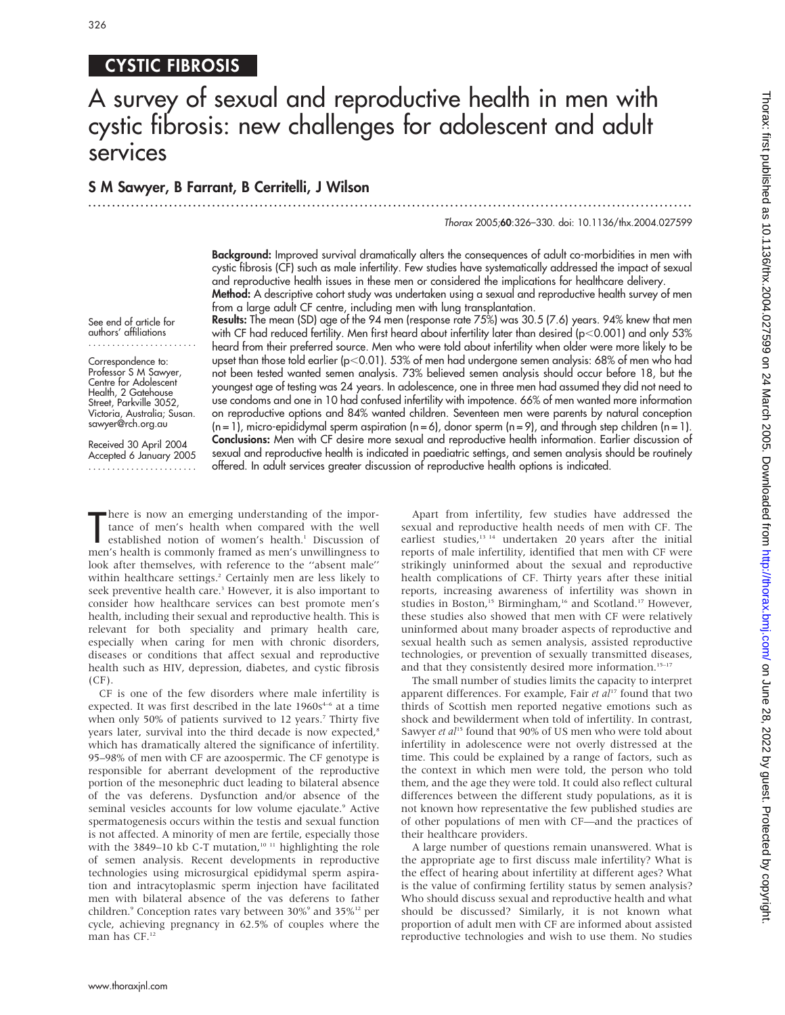# 326

# CYSTIC FIBROSIS

# A survey of sexual and reproductive health in men with cystic fibrosis: new challenges for adolescent and adult services

### S M Sawyer, B Farrant, B Cerritelli, J Wilson ...............................................................................................................................

Thorax 2005;60:326–330. doi: 10.1136/thx.2004.027599

Background: Improved survival dramatically alters the consequences of adult co-morbidities in men with cystic fibrosis (CF) such as male infertility. Few studies have systematically addressed the impact of sexual and reproductive health issues in these men or considered the implications for healthcare delivery. Method: A descriptive cohort study was undertaken using a sexual and reproductive health survey of men

from a large adult CF centre, including men with lung transplantation.

See end of article for authors' affiliations .......................

Correspondence to: Professor S M Sawyer, Centre for Adolescent Health, 2 Gatehouse Street, Parkville 3052, Victoria, Australia; Susan. sawyer@rch.org.au

Received 30 April 2004 Accepted 6 January 2005 .......................

Results: The mean (SD) age of the 94 men (response rate 75%) was 30.5 (7.6) years. 94% knew that men with CF had reduced fertility. Men first heard about infertility later than desired (p $<$ 0.001) and only 53% heard from their preferred source. Men who were told about infertility when older were more likely to be upset than those told earlier (p<0.01). 53% of men had undergone semen analysis: 68% of men who had not been tested wanted semen analysis. 73% believed semen analysis should occur before 18, but the youngest age of testing was 24 years. In adolescence, one in three men had assumed they did not need to use condoms and one in 10 had confused infertility with impotence. 66% of men wanted more information on reproductive options and 84% wanted children. Seventeen men were parents by natural conception  $(n = 1)$ , micro-epididymal sperm aspiration  $(n = 6)$ , donor sperm  $(n = 9)$ , and through step children  $(n = 1)$ . Conclusions: Men with CF desire more sexual and reproductive health information. Earlier discussion of sexual and reproductive health is indicated in paediatric settings, and semen analysis should be routinely offered. In adult services greater discussion of reproductive health options is indicated.

There is now an emerging understanding of the importance of men's health when compared with the well established notion of women's health.<sup>1</sup> Discussion of men's health is commonly framed as men's unwillingness to here is now an emerging understanding of the importance of men's health when compared with the well established notion of women's health.<sup>1</sup> Discussion of look after themselves, with reference to the ''absent male'' within healthcare settings.<sup>2</sup> Certainly men are less likely to seek preventive health care.<sup>3</sup> However, it is also important to consider how healthcare services can best promote men's health, including their sexual and reproductive health. This is relevant for both speciality and primary health care, especially when caring for men with chronic disorders, diseases or conditions that affect sexual and reproductive health such as HIV, depression, diabetes, and cystic fibrosis  $(CF)$ .

CF is one of the few disorders where male infertility is expected. It was first described in the late  $1960s<sup>4-6</sup>$  at a time when only 50% of patients survived to 12 years.<sup>7</sup> Thirty five years later, survival into the third decade is now expected,<sup>8</sup> which has dramatically altered the significance of infertility. 95–98% of men with CF are azoospermic. The CF genotype is responsible for aberrant development of the reproductive portion of the mesonephric duct leading to bilateral absence of the vas deferens. Dysfunction and/or absence of the seminal vesicles accounts for low volume ejaculate.<sup>9</sup> Active spermatogenesis occurs within the testis and sexual function is not affected. A minority of men are fertile, especially those with the 3849–10 kb C-T mutation,<sup>10 11</sup> highlighting the role of semen analysis. Recent developments in reproductive technologies using microsurgical epididymal sperm aspiration and intracytoplasmic sperm injection have facilitated men with bilateral absence of the vas deferens to father children.<sup>9</sup> Conception rates vary between 30%<sup>9</sup> and 35%<sup>12</sup> per cycle, achieving pregnancy in 62.5% of couples where the man has CF.<sup>12</sup>

Apart from infertility, few studies have addressed the sexual and reproductive health needs of men with CF. The earliest studies,<sup>13 14</sup> undertaken 20 years after the initial reports of male infertility, identified that men with CF were strikingly uninformed about the sexual and reproductive health complications of CF. Thirty years after these initial reports, increasing awareness of infertility was shown in studies in Boston,<sup>15</sup> Birmingham,<sup>16</sup> and Scotland.<sup>17</sup> However, these studies also showed that men with CF were relatively uninformed about many broader aspects of reproductive and sexual health such as semen analysis, assisted reproductive technologies, or prevention of sexually transmitted diseases, and that they consistently desired more information.<sup>15-17</sup>

The small number of studies limits the capacity to interpret apparent differences. For example, Fair et  $al^{17}$  found that two thirds of Scottish men reported negative emotions such as shock and bewilderment when told of infertility. In contrast, Sawyer et al<sup>15</sup> found that 90% of US men who were told about infertility in adolescence were not overly distressed at the time. This could be explained by a range of factors, such as the context in which men were told, the person who told them, and the age they were told. It could also reflect cultural differences between the different study populations, as it is not known how representative the few published studies are of other populations of men with CF—and the practices of their healthcare providers.

A large number of questions remain unanswered. What is the appropriate age to first discuss male infertility? What is the effect of hearing about infertility at different ages? What is the value of confirming fertility status by semen analysis? Who should discuss sexual and reproductive health and what should be discussed? Similarly, it is not known what proportion of adult men with CF are informed about assisted reproductive technologies and wish to use them. No studies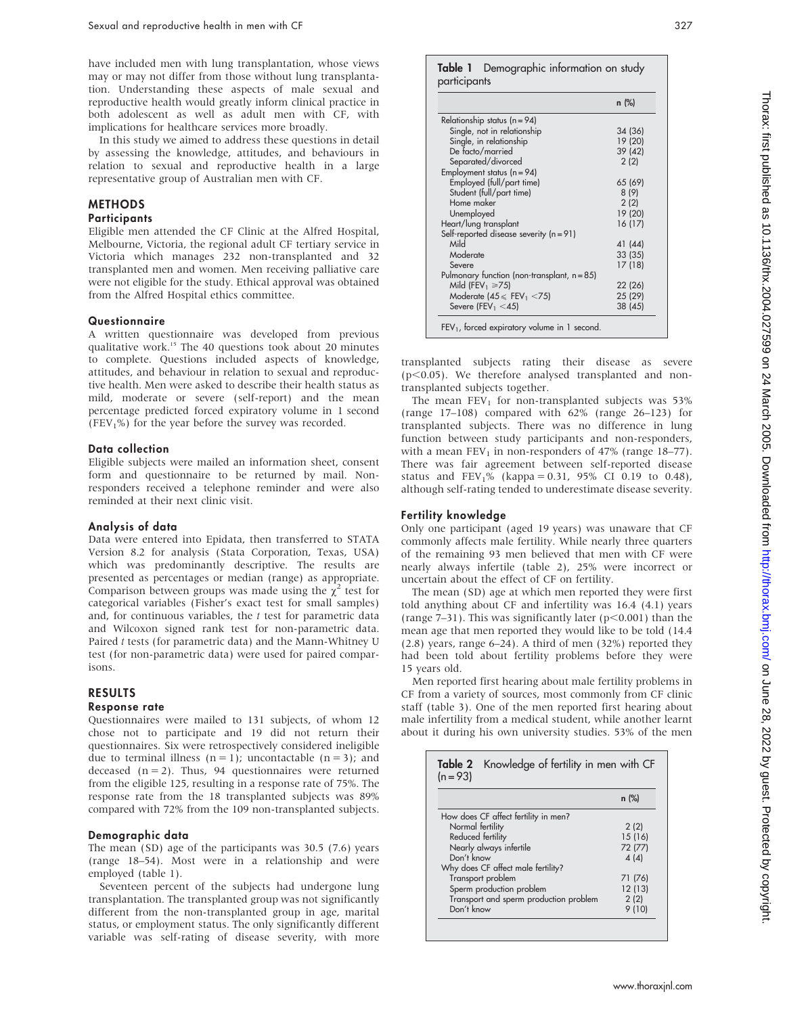have included men with lung transplantation, whose views may or may not differ from those without lung transplantation. Understanding these aspects of male sexual and reproductive health would greatly inform clinical practice in both adolescent as well as adult men with CF, with implications for healthcare services more broadly.

In this study we aimed to address these questions in detail by assessing the knowledge, attitudes, and behaviours in relation to sexual and reproductive health in a large representative group of Australian men with CF.

# **METHODS**

# **Participants**

Eligible men attended the CF Clinic at the Alfred Hospital, Melbourne, Victoria, the regional adult CF tertiary service in Victoria which manages 232 non-transplanted and 32 transplanted men and women. Men receiving palliative care were not eligible for the study. Ethical approval was obtained from the Alfred Hospital ethics committee.

#### Questionnaire

A written questionnaire was developed from previous qualitative work.15 The 40 questions took about 20 minutes to complete. Questions included aspects of knowledge, attitudes, and behaviour in relation to sexual and reproductive health. Men were asked to describe their health status as mild, moderate or severe (self-report) and the mean percentage predicted forced expiratory volume in 1 second (FEV<sub>1</sub>%) for the year before the survey was recorded.

#### Data collection

Eligible subjects were mailed an information sheet, consent form and questionnaire to be returned by mail. Nonresponders received a telephone reminder and were also reminded at their next clinic visit.

#### Analysis of data

Data were entered into Epidata, then transferred to STATA Version 8.2 for analysis (Stata Corporation, Texas, USA) which was predominantly descriptive. The results are presented as percentages or median (range) as appropriate. Comparison between groups was made using the  $\chi^2$  test for categorical variables (Fisher's exact test for small samples) and, for continuous variables, the  $t$  test for parametric data and Wilcoxon signed rank test for non-parametric data. Paired t tests (for parametric data) and the Mann-Whitney U test (for non-parametric data) were used for paired comparisons.

#### RESULTS

#### Response rate

Questionnaires were mailed to 131 subjects, of whom 12 chose not to participate and 19 did not return their questionnaires. Six were retrospectively considered ineligible due to terminal illness  $(n = 1)$ ; uncontactable  $(n = 3)$ ; and deceased  $(n = 2)$ . Thus, 94 questionnaires were returned from the eligible 125, resulting in a response rate of 75%. The response rate from the 18 transplanted subjects was 89% compared with 72% from the 109 non-transplanted subjects.

#### Demographic data

The mean (SD) age of the participants was 30.5 (7.6) years (range 18–54). Most were in a relationship and were employed (table 1).

Seventeen percent of the subjects had undergone lung transplantation. The transplanted group was not significantly different from the non-transplanted group in age, marital status, or employment status. The only significantly different variable was self-rating of disease severity, with more

|                                                | $n$ (%) |
|------------------------------------------------|---------|
| Relationship status ( $n = 94$ )               |         |
| Single, not in relationship                    | 34 (36) |
| Single, in relationship                        | 19 (20) |
| De facto/married                               | 39 (42) |
| Separated/divorced                             | 2(2)    |
| Employment status $(n = 94)$                   |         |
| Employed (full/part time)                      | 65 (69) |
| Student (full/part time)                       | 8(9)    |
| Home maker                                     | 2(2)    |
| Unemployed                                     | 19 (20) |
| Heart/lung transplant                          | 16 (17) |
| Self-reported disease severity (n = 91)        |         |
| Mild                                           | 41 (44) |
| Moderate                                       | 33 (35) |
| Severe                                         | 17(18)  |
| Pulmonary function (non-transplant, $n = 85$ ) |         |
| Mild (FEV <sub>1</sub> $\geq$ 75)              | 22 (26) |
| Moderate $(45 \leq FEV_1 \leq 75)$             | 25 (29) |
| Severe (FEV <sub>1</sub> $<$ 45)               | 38 (45) |

transplanted subjects rating their disease as severe  $(p<0.05)$ . We therefore analysed transplanted and nontransplanted subjects together.

The mean  $FEV<sub>1</sub>$  for non-transplanted subjects was 53% (range 17–108) compared with 62% (range 26–123) for transplanted subjects. There was no difference in lung function between study participants and non-responders, with a mean  $FEV_1$  in non-responders of 47% (range 18–77). There was fair agreement between self-reported disease status and  $FEV_1\%$  (kappa = 0.31, 95% CI 0.19 to 0.48), although self-rating tended to underestimate disease severity.

#### Fertility knowledge

Only one participant (aged 19 years) was unaware that CF commonly affects male fertility. While nearly three quarters of the remaining 93 men believed that men with CF were nearly always infertile (table 2), 25% were incorrect or uncertain about the effect of CF on fertility.

The mean (SD) age at which men reported they were first told anything about CF and infertility was 16.4 (4.1) years (range  $7-31$ ). This was significantly later ( $p<0.001$ ) than the mean age that men reported they would like to be told (14.4 (2.8) years, range 6–24). A third of men (32%) reported they had been told about fertility problems before they were 15 years old.

Men reported first hearing about male fertility problems in CF from a variety of sources, most commonly from CF clinic staff (table 3). One of the men reported first hearing about male infertility from a medical student, while another learnt about it during his own university studies. 53% of the men

| Table 2 Knowledge of fertility in men with CF<br>$(n = 93)$ |         |  |
|-------------------------------------------------------------|---------|--|
|                                                             | $n$ (%) |  |
| How does CF affect fertility in men?                        |         |  |
| Normal fertility                                            | 2(2)    |  |
| Reduced fertility                                           | 15(16)  |  |
| Nearly always infertile                                     | 72 (77) |  |
| Don't know                                                  | 4(4)    |  |
| Why does CF affect male fertility?                          |         |  |
| Transport problem                                           | 71 (76) |  |
| Sperm production problem                                    | 12(13)  |  |
| Transport and sperm production problem                      | 2(2)    |  |
| Don't know                                                  | 9(10)   |  |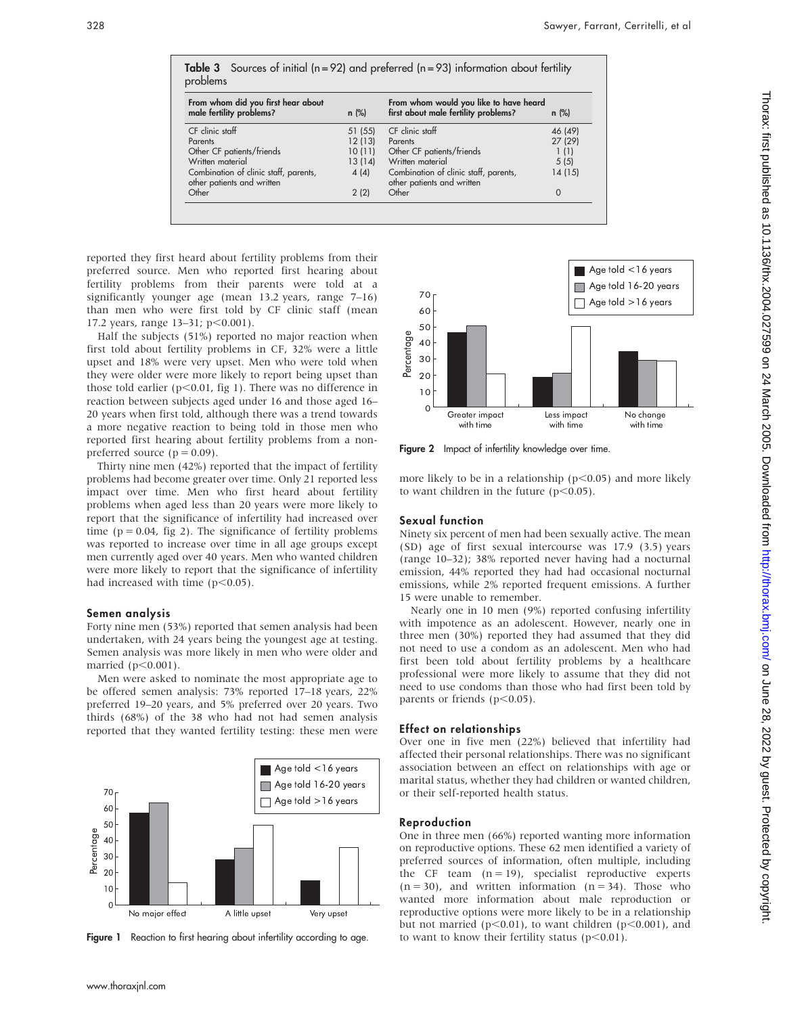| From whom did you first hear about<br>male fertility problems?<br>$n$ (%) |         | From whom would you like to have heard<br>first about male fertility problems? |          |
|---------------------------------------------------------------------------|---------|--------------------------------------------------------------------------------|----------|
| CF clinic staff                                                           | 51(55)  | CF clinic staff                                                                | 46 (49)  |
| Parents                                                                   | 12(13)  | Parents                                                                        | 27 (29)  |
| Other CF patients/friends                                                 | 10(11)  | Other CF patients/friends                                                      | 1(1)     |
| Written material                                                          | 13 (14) | Written material                                                               | 5(5)     |
| Combination of clinic staff, parents,<br>other patients and written       | 4(4)    | Combination of clinic staff, parents,<br>other patients and written            | 14(15)   |
| Other                                                                     | 2(2)    | Other                                                                          | $\Omega$ |

reported they first heard about fertility problems from their preferred source. Men who reported first hearing about fertility problems from their parents were told at a significantly younger age (mean 13.2 years, range 7–16) than men who were first told by CF clinic staff (mean 17.2 years, range  $13-31$ ;  $p<0.001$ ).

Half the subjects (51%) reported no major reaction when first told about fertility problems in CF, 32% were a little upset and 18% were very upset. Men who were told when they were older were more likely to report being upset than those told earlier ( $p$ <0.01, fig 1). There was no difference in reaction between subjects aged under 16 and those aged 16– 20 years when first told, although there was a trend towards a more negative reaction to being told in those men who reported first hearing about fertility problems from a nonpreferred source  $(p = 0.09)$ .

Thirty nine men (42%) reported that the impact of fertility problems had become greater over time. Only 21 reported less impact over time. Men who first heard about fertility problems when aged less than 20 years were more likely to report that the significance of infertility had increased over time ( $p = 0.04$ , fig 2). The significance of fertility problems was reported to increase over time in all age groups except men currently aged over 40 years. Men who wanted children were more likely to report that the significance of infertility had increased with time  $(p<0.05)$ .

#### Semen analysis

Forty nine men (53%) reported that semen analysis had been undertaken, with 24 years being the youngest age at testing. Semen analysis was more likely in men who were older and married  $(p<0.001)$ .

Men were asked to nominate the most appropriate age to be offered semen analysis: 73% reported 17–18 years, 22% preferred 19–20 years, and 5% preferred over 20 years. Two thirds (68%) of the 38 who had not had semen analysis reported that they wanted fertility testing: these men were



Figure 1 Reaction to first hearing about infertility according to age.



Figure 2 Impact of infertility knowledge over time.

more likely to be in a relationship ( $p<0.05$ ) and more likely to want children in the future  $(p<0.05)$ .

#### Sexual function

Ninety six percent of men had been sexually active. The mean (SD) age of first sexual intercourse was 17.9 (3.5) years (range 10–32); 38% reported never having had a nocturnal emission, 44% reported they had had occasional nocturnal emissions, while 2% reported frequent emissions. A further 15 were unable to remember.

Nearly one in 10 men (9%) reported confusing infertility with impotence as an adolescent. However, nearly one in three men (30%) reported they had assumed that they did not need to use a condom as an adolescent. Men who had first been told about fertility problems by a healthcare professional were more likely to assume that they did not need to use condoms than those who had first been told by parents or friends ( $p<0.05$ ).

#### Effect on relationships

Over one in five men (22%) believed that infertility had affected their personal relationships. There was no significant association between an effect on relationships with age or marital status, whether they had children or wanted children, or their self-reported health status.

#### Reproduction

One in three men (66%) reported wanting more information on reproductive options. These 62 men identified a variety of preferred sources of information, often multiple, including the CF team  $(n = 19)$ , specialist reproductive experts  $(n = 30)$ , and written information  $(n = 34)$ . Those who wanted more information about male reproduction or reproductive options were more likely to be in a relationship but not married ( $p<0.01$ ), to want children ( $p<0.001$ ), and to want to know their fertility status  $(p<0.01)$ .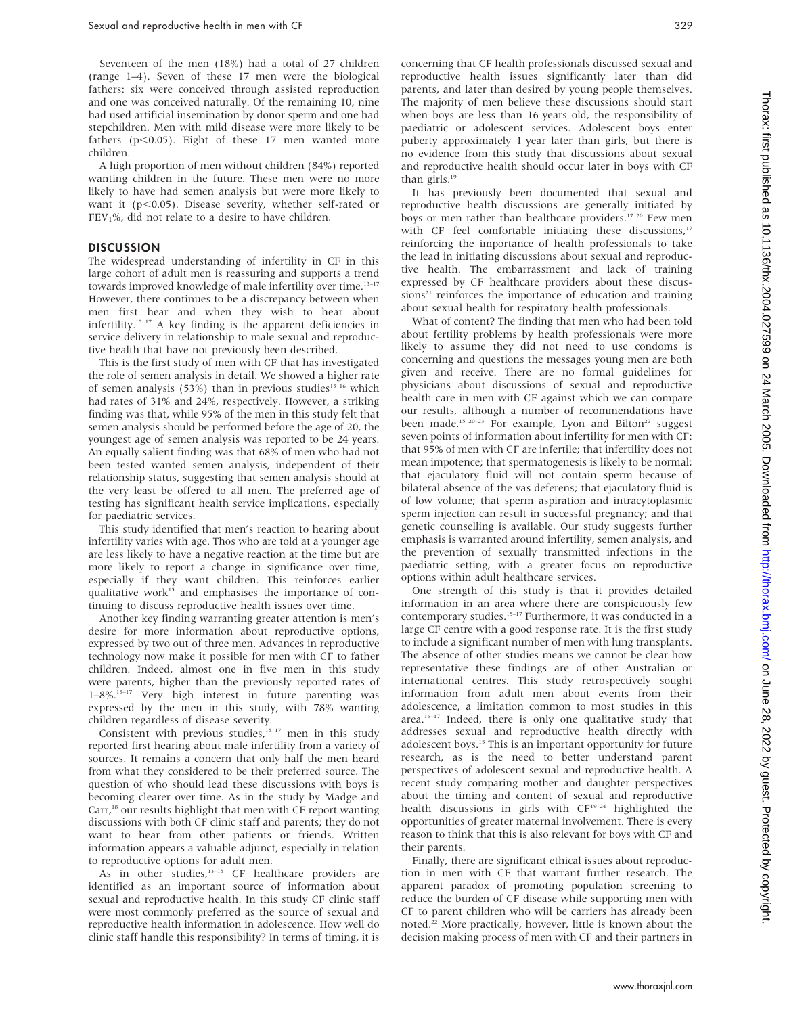Seventeen of the men (18%) had a total of 27 children (range 1–4). Seven of these 17 men were the biological fathers: six were conceived through assisted reproduction and one was conceived naturally. Of the remaining 10, nine had used artificial insemination by donor sperm and one had stepchildren. Men with mild disease were more likely to be fathers ( $p$ <0.05). Eight of these 17 men wanted more children.

A high proportion of men without children (84%) reported wanting children in the future. These men were no more likely to have had semen analysis but were more likely to want it ( $p$ <0.05). Disease severity, whether self-rated or  $FEV<sub>1</sub>$ %, did not relate to a desire to have children.

#### **DISCUSSION**

The widespread understanding of infertility in CF in this large cohort of adult men is reassuring and supports a trend towards improved knowledge of male infertility over time.<sup>13-17</sup> However, there continues to be a discrepancy between when men first hear and when they wish to hear about infertility.15 17 A key finding is the apparent deficiencies in service delivery in relationship to male sexual and reproductive health that have not previously been described.

This is the first study of men with CF that has investigated the role of semen analysis in detail. We showed a higher rate of semen analysis (53%) than in previous studies<sup>15 16</sup> which had rates of 31% and 24%, respectively. However, a striking finding was that, while 95% of the men in this study felt that semen analysis should be performed before the age of 20, the youngest age of semen analysis was reported to be 24 years. An equally salient finding was that 68% of men who had not been tested wanted semen analysis, independent of their relationship status, suggesting that semen analysis should at the very least be offered to all men. The preferred age of testing has significant health service implications, especially for paediatric services.

This study identified that men's reaction to hearing about infertility varies with age. Thos who are told at a younger age are less likely to have a negative reaction at the time but are more likely to report a change in significance over time, especially if they want children. This reinforces earlier qualitative work<sup>15</sup> and emphasises the importance of continuing to discuss reproductive health issues over time.

Another key finding warranting greater attention is men's desire for more information about reproductive options, expressed by two out of three men. Advances in reproductive technology now make it possible for men with CF to father children. Indeed, almost one in five men in this study were parents, higher than the previously reported rates of 1–8%.<sup>15-17</sup> Very high interest in future parenting was expressed by the men in this study, with 78% wanting children regardless of disease severity.

Consistent with previous studies,<sup>15 17</sup> men in this study reported first hearing about male infertility from a variety of sources. It remains a concern that only half the men heard from what they considered to be their preferred source. The question of who should lead these discussions with boys is becoming clearer over time. As in the study by Madge and Carr,<sup>18</sup> our results highlight that men with CF report wanting discussions with both CF clinic staff and parents; they do not want to hear from other patients or friends. Written information appears a valuable adjunct, especially in relation to reproductive options for adult men.

As in other studies, $13-15$  CF healthcare providers are identified as an important source of information about sexual and reproductive health. In this study CF clinic staff were most commonly preferred as the source of sexual and reproductive health information in adolescence. How well do clinic staff handle this responsibility? In terms of timing, it is

concerning that CF health professionals discussed sexual and reproductive health issues significantly later than did parents, and later than desired by young people themselves. The majority of men believe these discussions should start when boys are less than 16 years old, the responsibility of paediatric or adolescent services. Adolescent boys enter puberty approximately 1 year later than girls, but there is no evidence from this study that discussions about sexual and reproductive health should occur later in boys with CF than girls.<sup>19</sup>

It has previously been documented that sexual and reproductive health discussions are generally initiated by boys or men rather than healthcare providers.<sup>17 20</sup> Few men with CF feel comfortable initiating these discussions,<sup>17</sup> reinforcing the importance of health professionals to take the lead in initiating discussions about sexual and reproductive health. The embarrassment and lack of training expressed by CF healthcare providers about these discus $sions<sup>21</sup>$  reinforces the importance of education and training about sexual health for respiratory health professionals.

What of content? The finding that men who had been told about fertility problems by health professionals were more likely to assume they did not need to use condoms is concerning and questions the messages young men are both given and receive. There are no formal guidelines for physicians about discussions of sexual and reproductive health care in men with CF against which we can compare our results, although a number of recommendations have been made.<sup>15 20-23</sup> For example, Lyon and Bilton<sup>22</sup> suggest seven points of information about infertility for men with CF: that 95% of men with CF are infertile; that infertility does not mean impotence; that spermatogenesis is likely to be normal; that ejaculatory fluid will not contain sperm because of bilateral absence of the vas deferens; that ejaculatory fluid is of low volume; that sperm aspiration and intracytoplasmic sperm injection can result in successful pregnancy; and that genetic counselling is available. Our study suggests further emphasis is warranted around infertility, semen analysis, and the prevention of sexually transmitted infections in the paediatric setting, with a greater focus on reproductive options within adult healthcare services.

One strength of this study is that it provides detailed information in an area where there are conspicuously few contemporary studies.15–17 Furthermore, it was conducted in a large CF centre with a good response rate. It is the first study to include a significant number of men with lung transplants. The absence of other studies means we cannot be clear how representative these findings are of other Australian or international centres. This study retrospectively sought information from adult men about events from their adolescence, a limitation common to most studies in this area. $16-17$  Indeed, there is only one qualitative study that addresses sexual and reproductive health directly with adolescent boys.15 This is an important opportunity for future research, as is the need to better understand parent perspectives of adolescent sexual and reproductive health. A recent study comparing mother and daughter perspectives about the timing and content of sexual and reproductive health discussions in girls with  $CF<sup>19,24</sup>$  highlighted the opportunities of greater maternal involvement. There is every reason to think that this is also relevant for boys with CF and their parents.

Finally, there are significant ethical issues about reproduction in men with CF that warrant further research. The apparent paradox of promoting population screening to reduce the burden of CF disease while supporting men with CF to parent children who will be carriers has already been noted.22 More practically, however, little is known about the decision making process of men with CF and their partners in